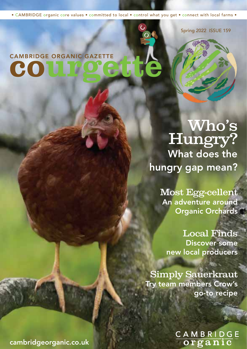• CAMBRIDGE organic core values • committed to local • control what you get • connect with local farms •

Spring 2022 ISSUE 159

# CAMBRIDGE ORGANIC GAZETTE CO

Who's Hungry? What does the hungry gap mean?

> Most Egg-cellent An adventure around Organic Orchards

Local Finds Discover some new local producers

Simply Sauerkraut Try team members Crow's go-to recipe

CAMBRIDGE<br>organic

cambridgeorganic.co.uk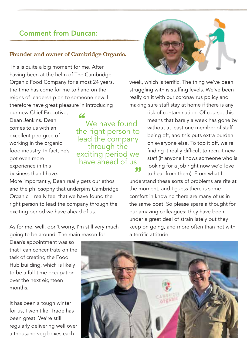## Comment from Duncan:

#### Founder and owner of Cambridge Organic.

This is quite a big moment for me. After having been at the helm of The Cambridge Organic Food Company for almost 24 years, the time has come for me to hand on the reigns of leadership on to someone new. I therefore have great pleasure in introducing

"

our new Chief Executive, Dean Jenkins. Dean comes to us with an excellent pedigree of working in the organic food industry. In fact, he's got even more experience in this business than I have.

We have found the right person to lead the company through the exciting period we have ahead of us

More importantly, Dean really gets our ethos and the philosophy that underpins Cambridge Organic. I really feel that we have found the right person to lead the company through the exciting period we have ahead of us.

As for me, well, don't worry, I'm still very much going to be around. The main reason for

Dean's appointment was so that I can concentrate on the task of creating the Food Hub building, which is likely to be a full-time occupation over the next eighteen months.

It has been a tough winter for us, I won't lie. Trade has been great. We're still regularly delivering well over a thousand veg boxes each



week, which is terrific. The thing we've been struggling with is staffing levels. We've been really on it with our coronavirus policy and making sure staff stay at home if there is any

> risk of contamination. Of course, this means that barely a week has gone by without at least one member of staff being off, and this puts extra burden on everyone else. To top it off, we're finding it really difficult to recruit new staff (if anyone knows someone who is looking for a job right now we'd love

to hear from them). From what I **33** to hear from them). From what I understand these sorts of problems are rife at the moment, and I guess there is some comfort in knowing there are many of us in the same boat. So please spare a thought for our amazing colleagues: they have been under a great deal of strain lately but they keep on going, and more often than not with a terrific attitude.

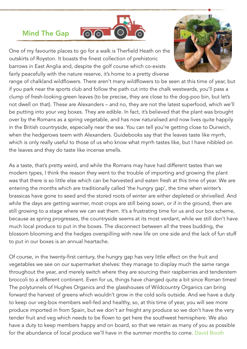### Mind The Gap



One of my favourite places to go for a walk is Therfield Heath on the outskirts of Royston. It boasts the finest collection of prehistoric barrows in East Anglia and, despite the golf course which co-exists fairly peacefully with the nature reserve, it's home to a pretty diverse



range of chalkland wildflowers. There aren't many wildflowers to be seen at this time of year, but if you park near the sports club and follow the path cut into the chalk westwards, you'll pass a clump of fresh-looking green leaves (to be precise, they are close to the dog-poo bin, but let's not dwell on that). These are Alexanders – and no, they are not the latest superfood, which we'll be putting into your veg boxes. They are edible. In fact, it's believed that the plant was brought over by the Romans as a spring vegetable, and has now naturalised and now lives quite happily in the British countryside, especially near the sea. You can tell you're getting close to Dunwich, when the hedgerows teem with Alexanders. Guidebooks say that the leaves taste like myrrh, which is only really useful to those of us who know what myrrh tastes like, but I have nibbled on the leaves and they do taste like incense smells.

As a taste, that's pretty weird, and while the Romans may have had different tastes than we modern types, I think the reason they went to the trouble of importing and growing the plant was that there is so little else which can be harvested and eaten fresh at this time of year. We are entering the months which are traditionally called 'the hungry gap', the time when winter's brassicas have gone to seed and the stored roots of winter are either depleted or shrivelled. And while the days are getting warmer, most crops are still being sown, or if in the ground, then are still growing to a stage where we can eat them. It's a frustrating time for us and our box scheme, because as spring progresses, the countryside seems at its most verdant, while we still don't have much local produce to put in the boxes. The disconnect between all the trees budding, the blossom blooming and the hedges overspilling with new life on one side and the lack of fun stuff to put in our boxes is an annual heartache.

Of course, in the twenty-first century, the hungry gap has very little effect on the fruit and vegetables we see on our supermarket shelves: they manage to display much the same range throughout the year, and merely switch where they are sourcing their raspberries and tenderstem broccoli to a different continent. Even for us, things have changed quite a bit since Roman times! The polytunnels of Hughes Organics and the glasshouses of Wildcountry Organics can bring forward the harvest of greens which wouldn't grow in the cold soils outside. And we have a duty to keep our veg-box members well-fed and healthy, so, at this time of year, you will see more produce imported in from Spain, but we don't air freight any produce so we don't have the very tender fruit and veg which needs to be flown to get here the southwest hemisphere. We also have a duty to keep members happy and on board, so that we retain as many of you as possible for the abundance of local produce we'll have in the summer months to come. David Booth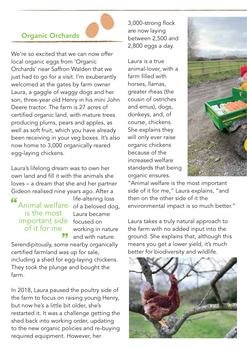# Organic Orchards

We're so excited that we can now offer local organic eggs from 'Organic Orchards' near Saffron Walden that we just had to go for a visit. I'm exuberantly welcomed at the gates by farm owner Laura, a gaggle of waggy dogs and her son, three-year old Henry in his mini John Deere tractor. The farm is 27 acres of certified organic land, with mature trees producing plums, pears and apples, as well as soft fruit, which you have already been receiving in your veg boxes. It's also now home to 3,000 organically reared egg-laying chickens.

Laura's lifelong dream was to own her own land and fill it with the animals she loves – a dream that she and her partner Gideon realised nine years ago. After a

#### Animal welfare of a beloved dog, important side focused on is the most of it for me  $\overline{\mathcal{L}}$

life-altering loss Laura became working in nature and with nature.

**99** and with nature.<br>Serendipitously, some nearby organically certified farmland was up for sale, including a shed for egg-laying chickens. They took the plunge and bought the farm.

In 2018, Laura paused the poultry side of the farm to focus on raising young Henry, but now he's a little bit older, she's restarted it. It was a challenge getting the shed back into working order, updating to the new organic policies and re-buying required equipment. However, her

3,000-strong flock are now laying between 2,500 and 2,800 eggs a day.

Laura is a true animal-lover, with a farm filled with horses, llamas, greater rheas (the cousin of ostriches and emus), dogs, donkeys, and, of course, chickens. She explains they will only ever raise organic chickens because of the increased welfare standards that being organic ensures.



"Animal welfare is the most important side of it for me," Laura explains, "and then on the other side of it the environmental impact is so much better."

Laura takes a truly natural approach to the farm with no added input into the ground. She explains that, although this means you get a lower yield, it's much better for biodiversity and wildlife.

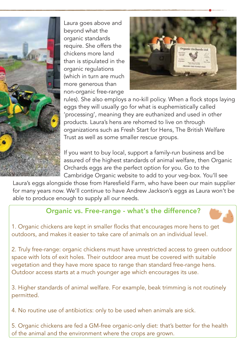

Laura goes above and beyond what the organic standards require. She offers the chickens more land than is stipulated in the organic regulations (which in turn are much more generous than non-organic free-range



rules). She also employs a no-kill policy. When a flock stops laying eggs they will usually go for what is euphemistically called 'processing', meaning they are euthanized and used in other products. Laura's hens are rehomed to live on through organizations such as Fresh Start for Hens, The British Welfare Trust as well as some smaller rescue groups.

If you want to buy local, support a family-run business and be assured of the highest standards of animal welfare, then Organic Orchards eggs are the perfect option for you. Go to the Cambridge Organic website to add to your veg-box. You'll see

Laura's eggs alongside those from Haresfield Farm, who have been our main supplier for many years now. We'll continue to have Andrew Jackson's eggs as Laura won't be able to produce enough to supply all our needs.

# Organic vs. Free-range - what's the difference?

1. Organic chickens are kept in smaller flocks that encourages more hens to get outdoors, and makes it easier to take care of animals on an individual level.

2. Truly free-range: organic chickens must have unrestricted access to green outdoor space with lots of exit holes. Their outdoor area must be covered with suitable vegetation and they have more space to range than standard free-range hens. Outdoor access starts at a much younger age which encourages its use.

3. Higher standards of animal welfare. For example, beak trimming is not routinely permitted.

4. No routine use of antibiotics: only to be used when animals are sick.

5. Organic chickens are fed a GM-free organic-only diet: that's better for the health of the animal and the environment where the crops are grown.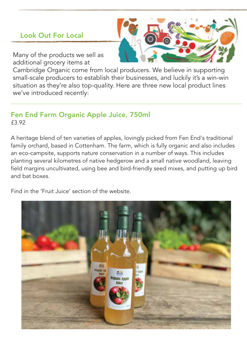# Look Out For Local

Many of the products we sell as additional grocery items at

Cambridge Organic come from local producers. We believe in supporting small-scale producers to establish their businesses, and luckily it's a win-win situation as they're also top-quality. Here are three new local product lines we've introduced recently:

## Fen End Farm Organic Apple Juice, 750ml £3.92

A heritage blend of ten varieties of apples, lovingly picked from Fen End's traditional family orchard, based in Cottenham. The farm, which is fully organic and also includes an eco-campsite, supports nature conservation in a number of ways. This includes planting several kilometres of native hedgerow and a small native woodland, leaving field margins uncultivated, using bee and bird-friendly seed mixes, and putting up bird and bat boxes.

Find in the 'Fruit Juice' section of the website.

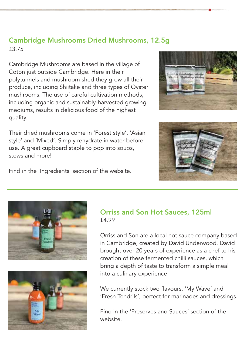# £3.75 Cambridge Mushrooms Dried Mushrooms, 12.5g

Cambridge Mushrooms are based in the village of Coton just outside Cambridge. Here in their polytunnels and mushroom shed they grow all their produce, including Shiitake and three types of Oyster mushrooms. The use of careful cultivation methods including organic and sustainably-harvested growing mediums, results in delicious food of the highest quality.

Their dried mushrooms come in 'Forest style', 'Asian style' and 'Mixed'. Simply rehydrate in water before use. A great cupboard staple to pop into soups, stews and more!





Find in the 'Ingredients' section of the website.





#### Orriss and Son Hot Sauces, 125ml £4.99

Orriss and Son are a local hot sauce company based in Cambridge, created by David Underwood. David brought over 20 years of experience as a chef to his creation of these fermented chilli sauces, which bring a depth of taste to transform a simple meal into a culinary experience.

We currently stock two flavours, 'My Wave' and 'Fresh Tendrils', perfect for marinades and dressings.

Find in the 'Preserves and Sauces' section of the website.